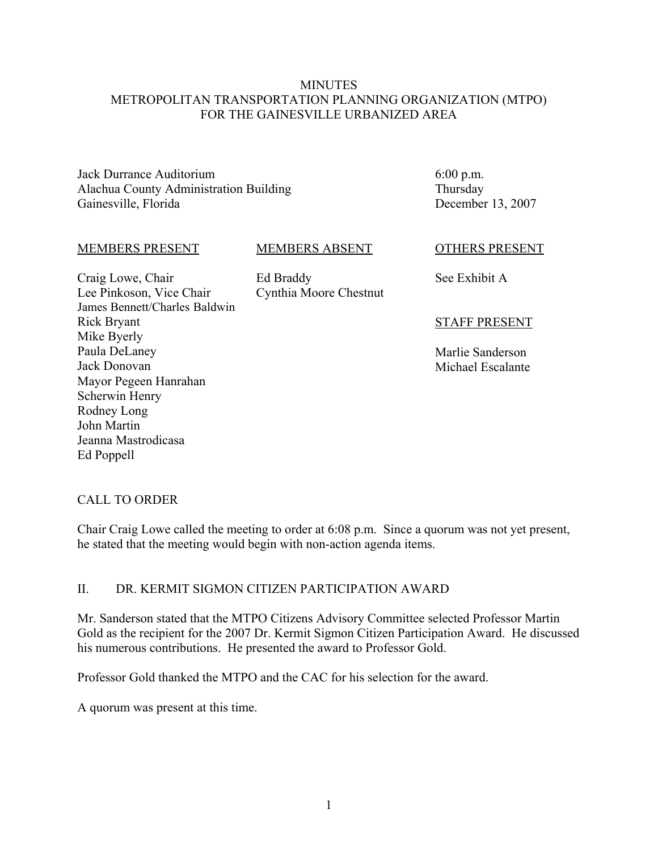#### **MINUTES** METROPOLITAN TRANSPORTATION PLANNING ORGANIZATION (MTPO) FOR THE GAINESVILLE URBANIZED AREA

Jack Durrance Auditorium Alachua County Administration Building Gainesville, Florida

6:00 p.m. Thursday December 13, 2007

#### MEMBERS PRESENT

#### MEMBERS ABSENT

Craig Lowe, Chair Lee Pinkoson, Vice Chair James Bennett/Charles Baldwin Rick Bryant Mike Byerly Paula DeLaney Jack Donovan Mayor Pegeen Hanrahan Scherwin Henry Rodney Long John Martin Jeanna Mastrodicasa Ed Poppell

Ed Braddy Cynthia Moore Chestnut

#### OTHERS PRESENT

See Exhibit A

#### STAFF PRESENT

Marlie Sanderson Michael Escalante

#### CALL TO ORDER

Chair Craig Lowe called the meeting to order at 6:08 p.m. Since a quorum was not yet present, he stated that the meeting would begin with non-action agenda items.

#### II. DR. KERMIT SIGMON CITIZEN PARTICIPATION AWARD

Mr. Sanderson stated that the MTPO Citizens Advisory Committee selected Professor Martin Gold as the recipient for the 2007 Dr. Kermit Sigmon Citizen Participation Award. He discussed his numerous contributions. He presented the award to Professor Gold.

Professor Gold thanked the MTPO and the CAC for his selection for the award.

A quorum was present at this time.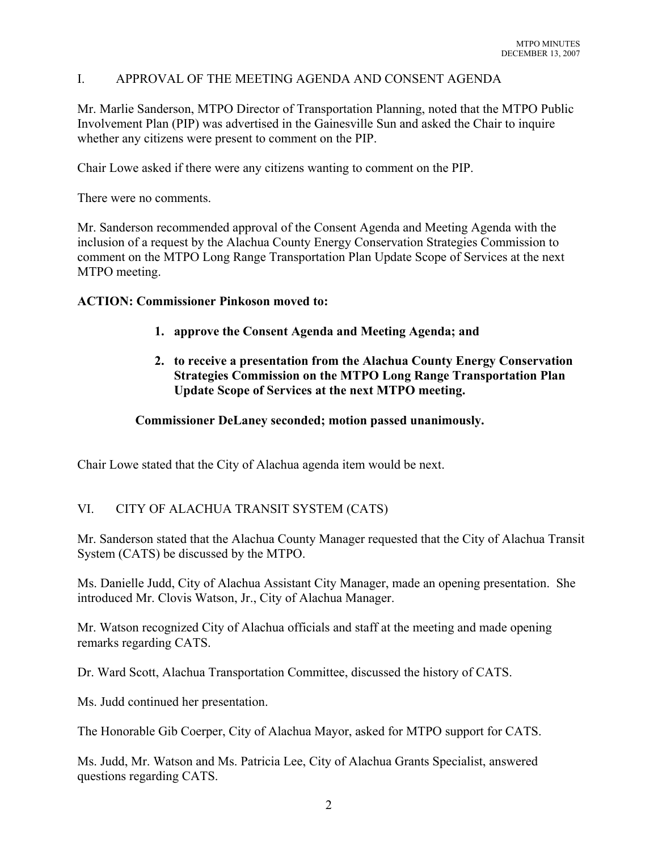### I. APPROVAL OF THE MEETING AGENDA AND CONSENT AGENDA

Mr. Marlie Sanderson, MTPO Director of Transportation Planning, noted that the MTPO Public Involvement Plan (PIP) was advertised in the Gainesville Sun and asked the Chair to inquire whether any citizens were present to comment on the PIP.

Chair Lowe asked if there were any citizens wanting to comment on the PIP.

There were no comments.

Mr. Sanderson recommended approval of the Consent Agenda and Meeting Agenda with the inclusion of a request by the Alachua County Energy Conservation Strategies Commission to comment on the MTPO Long Range Transportation Plan Update Scope of Services at the next MTPO meeting.

#### **ACTION: Commissioner Pinkoson moved to:**

- **1. approve the Consent Agenda and Meeting Agenda; and**
- **2. to receive a presentation from the Alachua County Energy Conservation Strategies Commission on the MTPO Long Range Transportation Plan Update Scope of Services at the next MTPO meeting.**

#### **Commissioner DeLaney seconded; motion passed unanimously.**

Chair Lowe stated that the City of Alachua agenda item would be next.

## VI. CITY OF ALACHUA TRANSIT SYSTEM (CATS)

Mr. Sanderson stated that the Alachua County Manager requested that the City of Alachua Transit System (CATS) be discussed by the MTPO.

Ms. Danielle Judd, City of Alachua Assistant City Manager, made an opening presentation. She introduced Mr. Clovis Watson, Jr., City of Alachua Manager.

Mr. Watson recognized City of Alachua officials and staff at the meeting and made opening remarks regarding CATS.

Dr. Ward Scott, Alachua Transportation Committee, discussed the history of CATS.

Ms. Judd continued her presentation.

The Honorable Gib Coerper, City of Alachua Mayor, asked for MTPO support for CATS.

Ms. Judd, Mr. Watson and Ms. Patricia Lee, City of Alachua Grants Specialist, answered questions regarding CATS.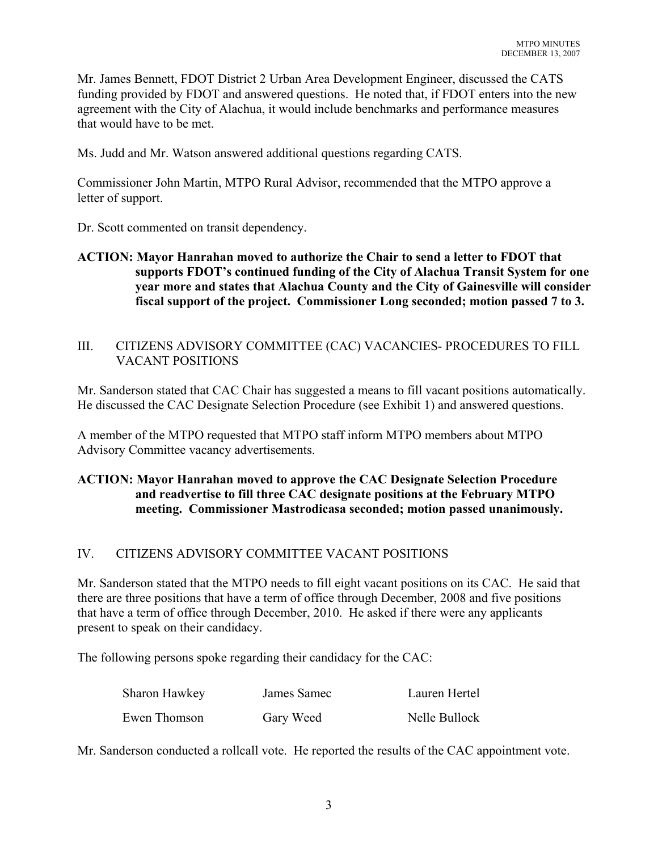Mr. James Bennett, FDOT District 2 Urban Area Development Engineer, discussed the CATS funding provided by FDOT and answered questions. He noted that, if FDOT enters into the new agreement with the City of Alachua, it would include benchmarks and performance measures that would have to be met.

Ms. Judd and Mr. Watson answered additional questions regarding CATS.

Commissioner John Martin, MTPO Rural Advisor, recommended that the MTPO approve a letter of support.

Dr. Scott commented on transit dependency.

### **ACTION: Mayor Hanrahan moved to authorize the Chair to send a letter to FDOT that supports FDOT's continued funding of the City of Alachua Transit System for one year more and states that Alachua County and the City of Gainesville will consider fiscal support of the project. Commissioner Long seconded; motion passed 7 to 3.**

#### III. CITIZENS ADVISORY COMMITTEE (CAC) VACANCIES- PROCEDURES TO FILL VACANT POSITIONS

Mr. Sanderson stated that CAC Chair has suggested a means to fill vacant positions automatically. He discussed the CAC Designate Selection Procedure (see Exhibit 1) and answered questions.

A member of the MTPO requested that MTPO staff inform MTPO members about MTPO Advisory Committee vacancy advertisements.

# **ACTION: Mayor Hanrahan moved to approve the CAC Designate Selection Procedure and readvertise to fill three CAC designate positions at the February MTPO meeting. Commissioner Mastrodicasa seconded; motion passed unanimously.**

## IV. CITIZENS ADVISORY COMMITTEE VACANT POSITIONS

Mr. Sanderson stated that the MTPO needs to fill eight vacant positions on its CAC. He said that there are three positions that have a term of office through December, 2008 and five positions that have a term of office through December, 2010. He asked if there were any applicants present to speak on their candidacy.

The following persons spoke regarding their candidacy for the CAC:

| Sharon Hawkey | James Samec | Lauren Hertel |
|---------------|-------------|---------------|
| Ewen Thomson  | Gary Weed   | Nelle Bullock |

Mr. Sanderson conducted a rollcall vote. He reported the results of the CAC appointment vote.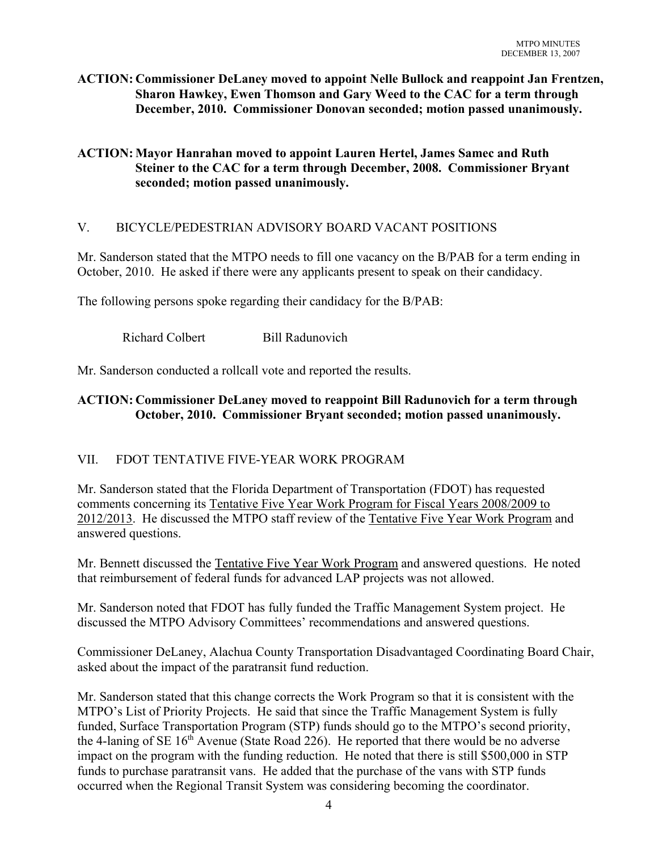## **ACTION: Commissioner DeLaney moved to appoint Nelle Bullock and reappoint Jan Frentzen, Sharon Hawkey, Ewen Thomson and Gary Weed to the CAC for a term through December, 2010. Commissioner Donovan seconded; motion passed unanimously.**

# **ACTION: Mayor Hanrahan moved to appoint Lauren Hertel, James Samec and Ruth Steiner to the CAC for a term through December, 2008. Commissioner Bryant seconded; motion passed unanimously.**

# V. BICYCLE/PEDESTRIAN ADVISORY BOARD VACANT POSITIONS

Mr. Sanderson stated that the MTPO needs to fill one vacancy on the B/PAB for a term ending in October, 2010. He asked if there were any applicants present to speak on their candidacy.

The following persons spoke regarding their candidacy for the B/PAB:

Richard Colbert Bill Radunovich

Mr. Sanderson conducted a rollcall vote and reported the results.

# **ACTION: Commissioner DeLaney moved to reappoint Bill Radunovich for a term through October, 2010. Commissioner Bryant seconded; motion passed unanimously.**

## VII. FDOT TENTATIVE FIVE-YEAR WORK PROGRAM

Mr. Sanderson stated that the Florida Department of Transportation (FDOT) has requested comments concerning its Tentative Five Year Work Program for Fiscal Years 2008/2009 to 2012/2013. He discussed the MTPO staff review of the Tentative Five Year Work Program and answered questions.

Mr. Bennett discussed the Tentative Five Year Work Program and answered questions. He noted that reimbursement of federal funds for advanced LAP projects was not allowed.

Mr. Sanderson noted that FDOT has fully funded the Traffic Management System project. He discussed the MTPO Advisory Committees' recommendations and answered questions.

Commissioner DeLaney, Alachua County Transportation Disadvantaged Coordinating Board Chair, asked about the impact of the paratransit fund reduction.

Mr. Sanderson stated that this change corrects the Work Program so that it is consistent with the MTPO's List of Priority Projects. He said that since the Traffic Management System is fully funded, Surface Transportation Program (STP) funds should go to the MTPO's second priority, the 4-laning of SE  $16<sup>th</sup>$  Avenue (State Road 226). He reported that there would be no adverse impact on the program with the funding reduction. He noted that there is still \$500,000 in STP funds to purchase paratransit vans. He added that the purchase of the vans with STP funds occurred when the Regional Transit System was considering becoming the coordinator.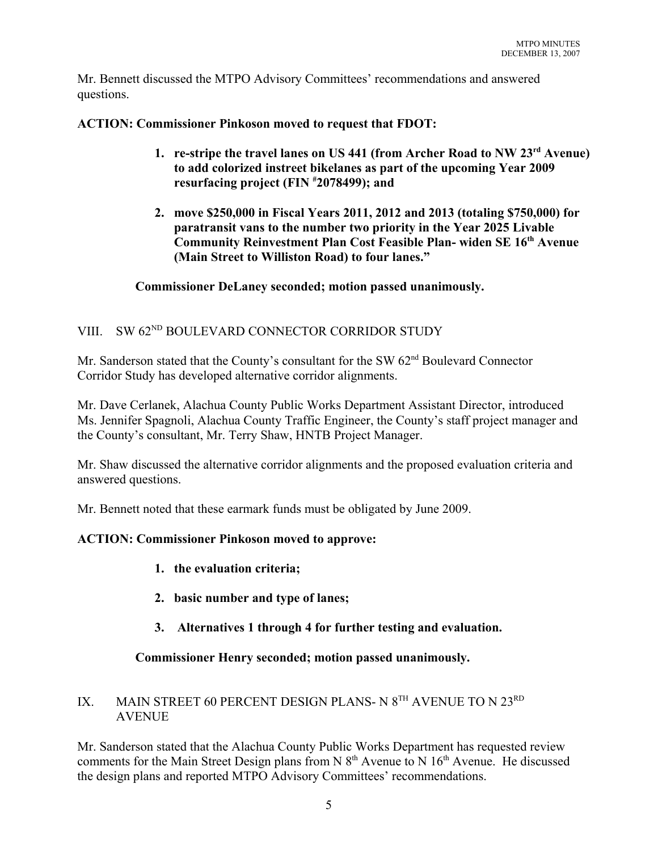Mr. Bennett discussed the MTPO Advisory Committees' recommendations and answered questions.

**ACTION: Commissioner Pinkoson moved to request that FDOT:** 

- **1. re-stripe the travel lanes on US 441 (from Archer Road to NW 23rd Avenue) to add colorized instreet bikelanes as part of the upcoming Year 2009 resurfacing project (FIN # 2078499); and**
- **2. move \$250,000 in Fiscal Years 2011, 2012 and 2013 (totaling \$750,000) for paratransit vans to the number two priority in the Year 2025 Livable Community Reinvestment Plan Cost Feasible Plan- widen SE 16th Avenue (Main Street to Williston Road) to four lanes."**

## **Commissioner DeLaney seconded; motion passed unanimously.**

# VIII. SW 62<sup>ND</sup> BOULEVARD CONNECTOR CORRIDOR STUDY

Mr. Sanderson stated that the County's consultant for the SW 62<sup>nd</sup> Boulevard Connector Corridor Study has developed alternative corridor alignments.

Mr. Dave Cerlanek, Alachua County Public Works Department Assistant Director, introduced Ms. Jennifer Spagnoli, Alachua County Traffic Engineer, the County's staff project manager and the County's consultant, Mr. Terry Shaw, HNTB Project Manager.

Mr. Shaw discussed the alternative corridor alignments and the proposed evaluation criteria and answered questions.

Mr. Bennett noted that these earmark funds must be obligated by June 2009.

## **ACTION: Commissioner Pinkoson moved to approve:**

- **1. the evaluation criteria;**
- **2. basic number and type of lanes;**
- **3. Alternatives 1 through 4 for further testing and evaluation.**

## **Commissioner Henry seconded; motion passed unanimously.**

# IX. MAIN STREET 60 PERCENT DESIGN PLANS- N 8<sup>TH</sup> AVENUE TO N 23<sup>RD</sup> **AVENUE**

Mr. Sanderson stated that the Alachua County Public Works Department has requested review comments for the Main Street Design plans from N  $8<sup>th</sup>$  Avenue to N  $16<sup>th</sup>$  Avenue. He discussed the design plans and reported MTPO Advisory Committees' recommendations.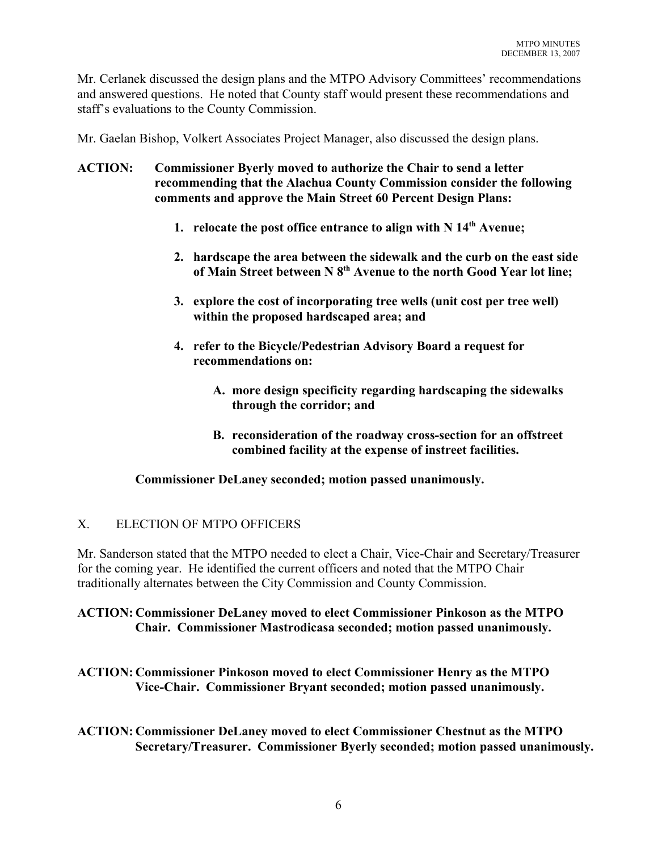Mr. Cerlanek discussed the design plans and the MTPO Advisory Committees' recommendations and answered questions. He noted that County staff would present these recommendations and staff's evaluations to the County Commission.

Mr. Gaelan Bishop, Volkert Associates Project Manager, also discussed the design plans.

- **ACTION: Commissioner Byerly moved to authorize the Chair to send a letter recommending that the Alachua County Commission consider the following comments and approve the Main Street 60 Percent Design Plans:**
	- **1. relocate the post office entrance to align with N 14th Avenue;**
	- **2. hardscape the area between the sidewalk and the curb on the east side of Main Street between N 8th Avenue to the north Good Year lot line;**
	- **3. explore the cost of incorporating tree wells (unit cost per tree well) within the proposed hardscaped area; and**
	- **4. refer to the Bicycle/Pedestrian Advisory Board a request for recommendations on:**
		- **A. more design specificity regarding hardscaping the sidewalks through the corridor; and**
		- **B. reconsideration of the roadway cross-section for an offstreet combined facility at the expense of instreet facilities.**

**Commissioner DeLaney seconded; motion passed unanimously.**

## X. ELECTION OF MTPO OFFICERS

Mr. Sanderson stated that the MTPO needed to elect a Chair, Vice-Chair and Secretary/Treasurer for the coming year. He identified the current officers and noted that the MTPO Chair traditionally alternates between the City Commission and County Commission.

#### **ACTION: Commissioner DeLaney moved to elect Commissioner Pinkoson as the MTPO Chair. Commissioner Mastrodicasa seconded; motion passed unanimously.**

**ACTION: Commissioner Pinkoson moved to elect Commissioner Henry as the MTPO Vice-Chair. Commissioner Bryant seconded; motion passed unanimously.**

**ACTION: Commissioner DeLaney moved to elect Commissioner Chestnut as the MTPO Secretary/Treasurer. Commissioner Byerly seconded; motion passed unanimously.**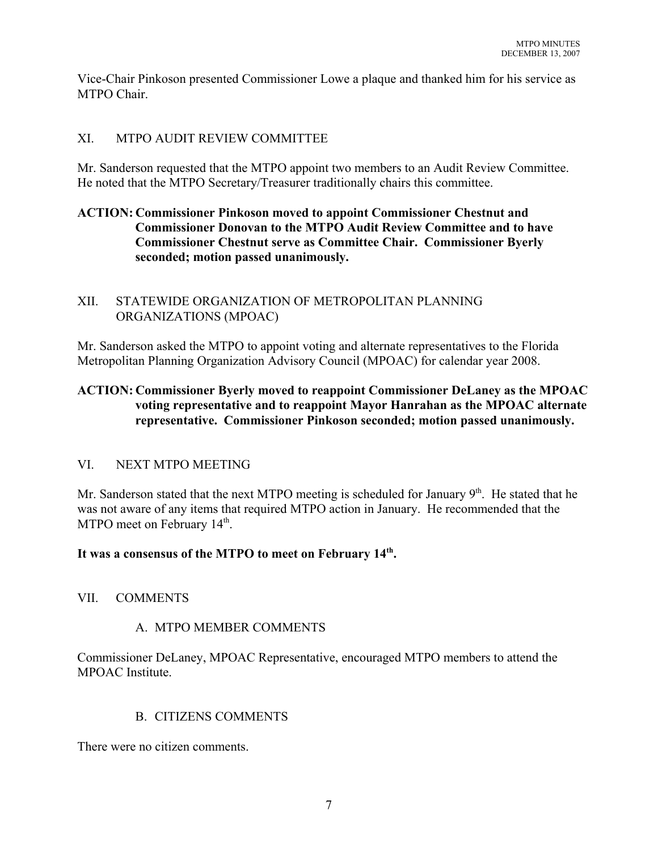Vice-Chair Pinkoson presented Commissioner Lowe a plaque and thanked him for his service as MTPO Chair.

## XI. MTPO AUDIT REVIEW COMMITTEE

Mr. Sanderson requested that the MTPO appoint two members to an Audit Review Committee. He noted that the MTPO Secretary/Treasurer traditionally chairs this committee.

# **ACTION: Commissioner Pinkoson moved to appoint Commissioner Chestnut and Commissioner Donovan to the MTPO Audit Review Committee and to have Commissioner Chestnut serve as Committee Chair. Commissioner Byerly seconded; motion passed unanimously.**

# XII. STATEWIDE ORGANIZATION OF METROPOLITAN PLANNING ORGANIZATIONS (MPOAC)

Mr. Sanderson asked the MTPO to appoint voting and alternate representatives to the Florida Metropolitan Planning Organization Advisory Council (MPOAC) for calendar year 2008.

# **ACTION: Commissioner Byerly moved to reappoint Commissioner DeLaney as the MPOAC voting representative and to reappoint Mayor Hanrahan as the MPOAC alternate representative. Commissioner Pinkoson seconded; motion passed unanimously.**

# VI. NEXT MTPO MEETING

Mr. Sanderson stated that the next MTPO meeting is scheduled for January  $9<sup>th</sup>$ . He stated that he was not aware of any items that required MTPO action in January. He recommended that the MTPO meet on February 14<sup>th</sup>.

## **It was a consensus of the MTPO to meet on February 14th.**

## VII. COMMENTS

## A. MTPO MEMBER COMMENTS

Commissioner DeLaney, MPOAC Representative, encouraged MTPO members to attend the MPOAC Institute.

## B. CITIZENS COMMENTS

There were no citizen comments.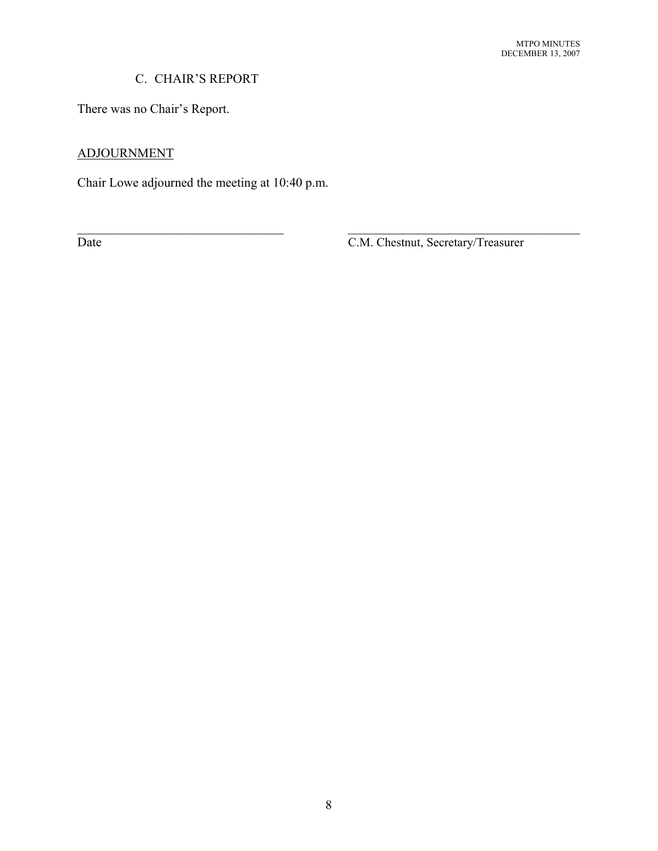# C. CHAIR'S REPORT

There was no Chair's Report.

# ADJOURNMENT

Chair Lowe adjourned the meeting at 10:40 p.m.

Date C.M. Chestnut, Secretary/Treasurer

 $\mathcal{L}_\text{max}$  , and the contribution of the contribution of the contribution of the contribution of the contribution of the contribution of the contribution of the contribution of the contribution of the contribution of t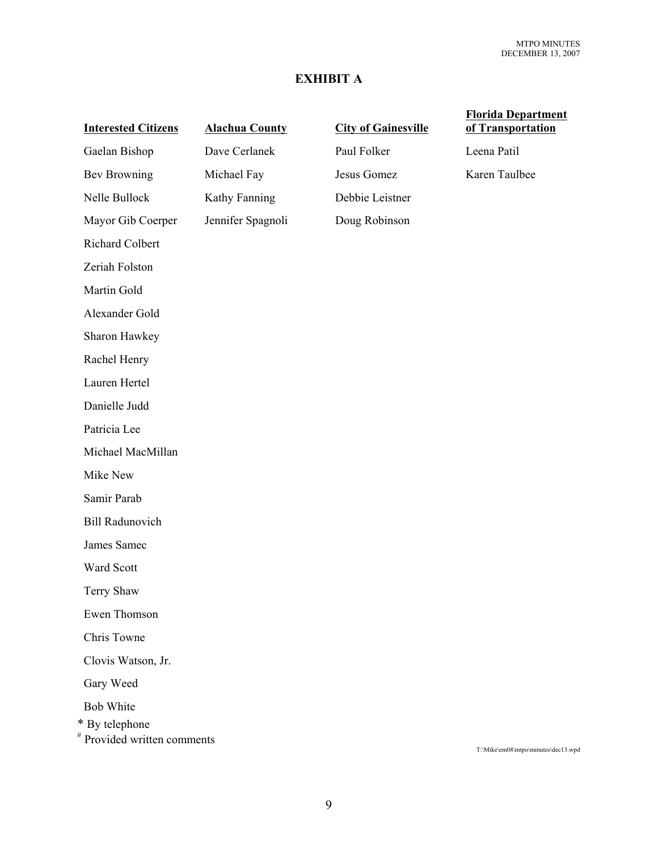# **EXHIBIT A**

| <b>Interested Citizens</b>                                        | <b>Alachua County</b> | <b>City of Gainesville</b> | <b>Florida Department</b><br>of Transportation |
|-------------------------------------------------------------------|-----------------------|----------------------------|------------------------------------------------|
| Gaelan Bishop                                                     | Dave Cerlanek         | Paul Folker                | Leena Patil                                    |
| <b>Bev Browning</b>                                               | Michael Fay           | Jesus Gomez                | Karen Taulbee                                  |
| Nelle Bullock                                                     | Kathy Fanning         | Debbie Leistner            |                                                |
| Mayor Gib Coerper                                                 | Jennifer Spagnoli     | Doug Robinson              |                                                |
| Richard Colbert                                                   |                       |                            |                                                |
| Zeriah Folston                                                    |                       |                            |                                                |
| Martin Gold                                                       |                       |                            |                                                |
| Alexander Gold                                                    |                       |                            |                                                |
| Sharon Hawkey                                                     |                       |                            |                                                |
| Rachel Henry                                                      |                       |                            |                                                |
| Lauren Hertel                                                     |                       |                            |                                                |
| Danielle Judd                                                     |                       |                            |                                                |
| Patricia Lee                                                      |                       |                            |                                                |
| Michael MacMillan                                                 |                       |                            |                                                |
| Mike New                                                          |                       |                            |                                                |
| Samir Parab                                                       |                       |                            |                                                |
| <b>Bill Radunovich</b>                                            |                       |                            |                                                |
| James Samec                                                       |                       |                            |                                                |
| Ward Scott                                                        |                       |                            |                                                |
| Terry Shaw                                                        |                       |                            |                                                |
| Ewen Thomson                                                      |                       |                            |                                                |
| Chris Towne                                                       |                       |                            |                                                |
| Clovis Watson, Jr.                                                |                       |                            |                                                |
| Gary Weed                                                         |                       |                            |                                                |
| <b>Bob White</b><br>* By telephone<br># Provided written comments |                       |                            |                                                |

T:\Mike\em08\mtpo\minutes\dec13.wpd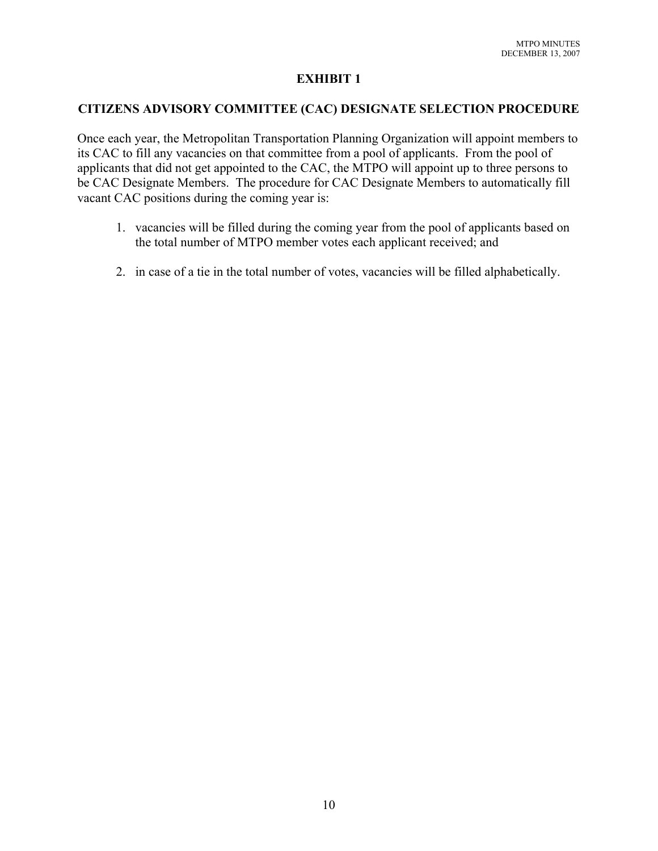## **EXHIBIT 1**

#### **CITIZENS ADVISORY COMMITTEE (CAC) DESIGNATE SELECTION PROCEDURE**

Once each year, the Metropolitan Transportation Planning Organization will appoint members to its CAC to fill any vacancies on that committee from a pool of applicants. From the pool of applicants that did not get appointed to the CAC, the MTPO will appoint up to three persons to be CAC Designate Members. The procedure for CAC Designate Members to automatically fill vacant CAC positions during the coming year is:

- 1. vacancies will be filled during the coming year from the pool of applicants based on the total number of MTPO member votes each applicant received; and
- 2. in case of a tie in the total number of votes, vacancies will be filled alphabetically.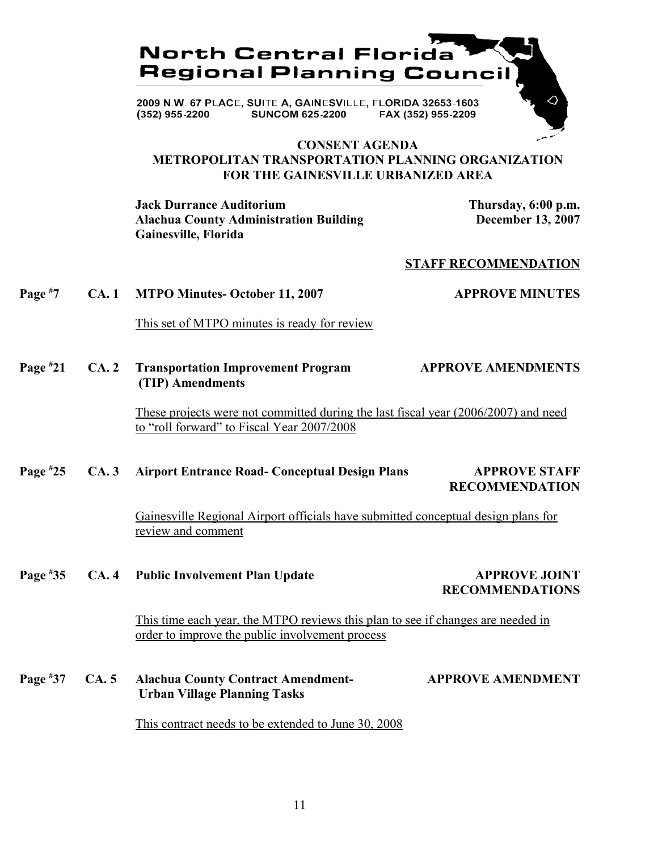

**SUNCOM 625-2200** FAX (352) 955-2209  $(352)$  955-2200

#### **CONSENT AGENDA METROPOLITAN TRANSPORTATION PLANNING ORGANIZATION FOR THE GAINESVILLE URBANIZED AREA**

**Jack Durrance Auditorium Thursday, 6:00 p.m. Alachua County Administration Building December 13, 2007 Gainesville, Florida**

#### **STAFF RECOMMENDATION**

#### **Page # 7 CA. 1 MTPO Minutes- October 11, 2007 APPROVE MINUTES**

This set of MTPO minutes is ready for review

#### **Page # 21 CA. 2 Transportation Improvement Program APPROVE AMENDMENTS (TIP) Amendments**

These projects were not committed during the last fiscal year (2006/2007) and need to "roll forward" to Fiscal Year 2007/2008

#### **Page # 25 CA. 3 Airport Entrance Road- Conceptual Design Plans APPROVE STAFF**

# **RECOMMENDATION**

Gainesville Regional Airport officials have submitted conceptual design plans for review and comment

**Page #** CA. 4 Public Involvement Plan Update **APPROVE JOINT** 

**RECOMMENDATIONS**

This time each year, the MTPO reviews this plan to see if changes are needed in order to improve the public involvement process

**Page #** CA. 5 Alachua County Contract Amendment- **APPROVE AMENDMENT Urban Village Planning Tasks**

This contract needs to be extended to June 30, 2008